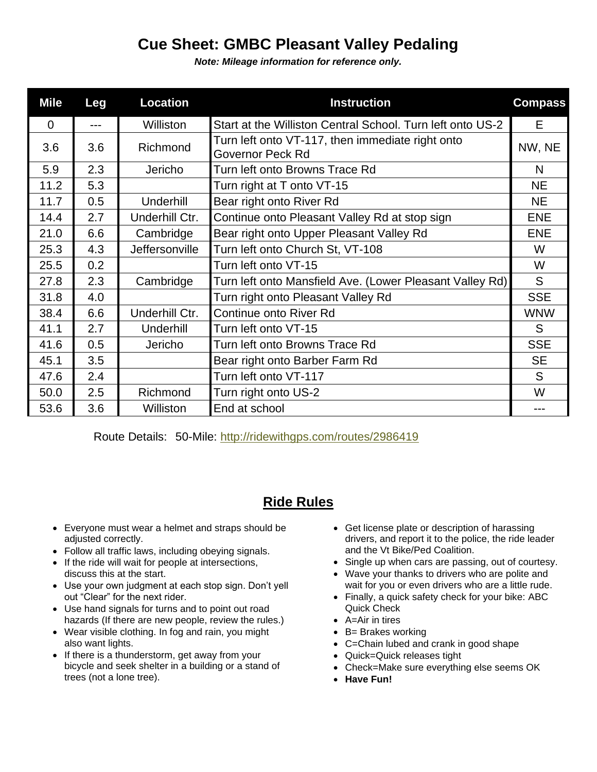## **Cue Sheet: GMBC Pleasant Valley Pedaling**

*Note: Mileage information for reference only.*

| <b>Mile</b> | Leg   | <b>Location</b> | <b>Instruction</b>                                                   | <b>Compass</b> |
|-------------|-------|-----------------|----------------------------------------------------------------------|----------------|
| $\Omega$    | $---$ | Williston       | Start at the Williston Central School. Turn left onto US-2           | E.             |
| 3.6         | 3.6   | Richmond        | Turn left onto VT-117, then immediate right onto<br>Governor Peck Rd | NW, NE         |
| 5.9         | 2.3   | Jericho         | Turn left onto Browns Trace Rd                                       | N              |
| 11.2        | 5.3   |                 | Turn right at T onto VT-15                                           | <b>NE</b>      |
| 11.7        | 0.5   | Underhill       | Bear right onto River Rd                                             | <b>NE</b>      |
| 14.4        | 2.7   | Underhill Ctr.  | Continue onto Pleasant Valley Rd at stop sign                        | <b>ENE</b>     |
| 21.0        | 6.6   | Cambridge       | Bear right onto Upper Pleasant Valley Rd                             | <b>ENE</b>     |
| 25.3        | 4.3   | Jeffersonville  | Turn left onto Church St, VT-108                                     | W              |
| 25.5        | 0.2   |                 | Turn left onto VT-15                                                 | W              |
| 27.8        | 2.3   | Cambridge       | Turn left onto Mansfield Ave. (Lower Pleasant Valley Rd)             | S              |
| 31.8        | 4.0   |                 | Turn right onto Pleasant Valley Rd                                   | <b>SSE</b>     |
| 38.4        | 6.6   | Underhill Ctr.  | Continue onto River Rd                                               | <b>WNW</b>     |
| 41.1        | 2.7   | Underhill       | Turn left onto VT-15                                                 | S              |
| 41.6        | 0.5   | Jericho         | Turn left onto Browns Trace Rd                                       | <b>SSE</b>     |
| 45.1        | 3.5   |                 | Bear right onto Barber Farm Rd                                       | <b>SE</b>      |
| 47.6        | 2.4   |                 | Turn left onto VT-117                                                | S              |
| 50.0        | 2.5   | Richmond        | Turn right onto US-2                                                 | W              |
| 53.6        | 3.6   | Williston       | End at school                                                        | ---            |

Route Details: 50-Mile:<http://ridewithgps.com/routes/2986419>

## **Ride Rules**

- Everyone must wear a helmet and straps should be adjusted correctly.
- Follow all traffic laws, including obeying signals.
- If the ride will wait for people at intersections, discuss this at the start.
- Use your own judgment at each stop sign. Don't yell out "Clear" for the next rider.
- Use hand signals for turns and to point out road hazards (If there are new people, review the rules.)
- Wear visible clothing. In fog and rain, you might also want lights.
- If there is a thunderstorm, get away from your bicycle and seek shelter in a building or a stand of trees (not a lone tree).
- Get license plate or description of harassing drivers, and report it to the police, the ride leader and the Vt Bike/Ped Coalition.
- Single up when cars are passing, out of courtesy.
- Wave your thanks to drivers who are polite and wait for you or even drivers who are a little rude.
- Finally, a quick safety check for your bike: ABC Quick Check
- A=Air in tires
- B= Brakes working
- C=Chain lubed and crank in good shape
- Quick=Quick releases tight
- Check=Make sure everything else seems OK
- **Have Fun!**